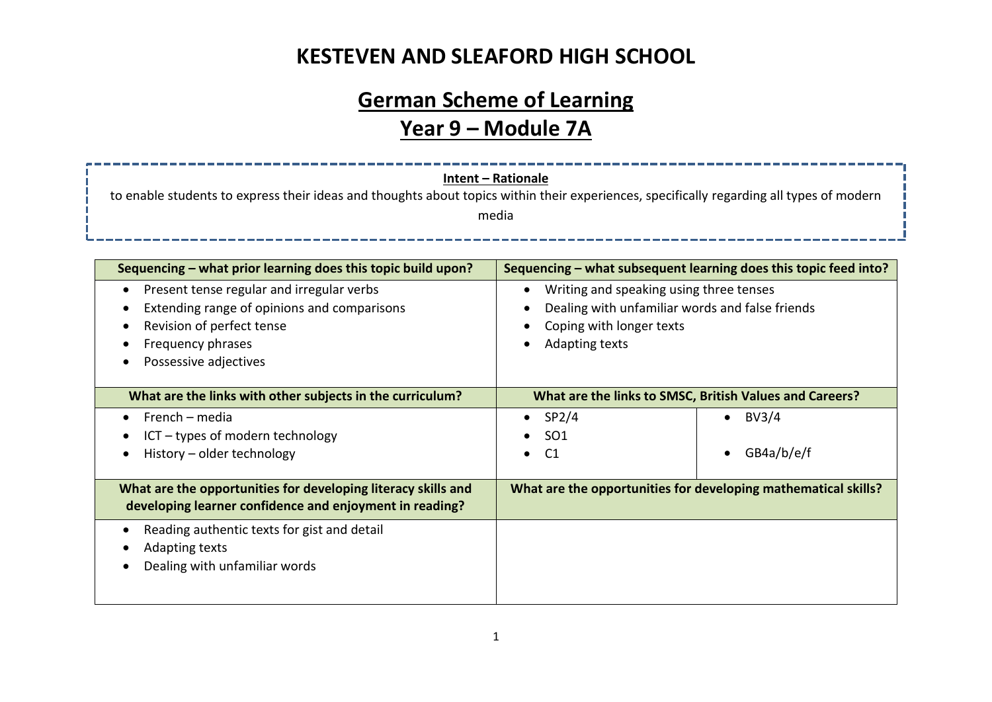# **German Scheme of Learning**

## **Year 9 – Module 7A**

|                                                                                                                                          | <b>Intent - Rationale</b>                                      |                                                                  |  |  |  |
|------------------------------------------------------------------------------------------------------------------------------------------|----------------------------------------------------------------|------------------------------------------------------------------|--|--|--|
| to enable students to express their ideas and thoughts about topics within their experiences, specifically regarding all types of modern |                                                                |                                                                  |  |  |  |
| media                                                                                                                                    |                                                                |                                                                  |  |  |  |
|                                                                                                                                          |                                                                |                                                                  |  |  |  |
| Sequencing – what prior learning does this topic build upon?                                                                             |                                                                | Sequencing – what subsequent learning does this topic feed into? |  |  |  |
| Present tense regular and irregular verbs                                                                                                | Writing and speaking using three tenses<br>$\bullet$           |                                                                  |  |  |  |
| Extending range of opinions and comparisons                                                                                              | Dealing with unfamiliar words and false friends                |                                                                  |  |  |  |
| Revision of perfect tense                                                                                                                | Coping with longer texts                                       |                                                                  |  |  |  |
| Frequency phrases                                                                                                                        | Adapting texts                                                 |                                                                  |  |  |  |
| Possessive adjectives                                                                                                                    |                                                                |                                                                  |  |  |  |
| What are the links with other subjects in the curriculum?                                                                                | What are the links to SMSC, British Values and Careers?        |                                                                  |  |  |  |
| French – media                                                                                                                           | SP <sub>2</sub> /4                                             | BV3/4                                                            |  |  |  |
| ICT - types of modern technology                                                                                                         | $\bullet$<br>SO <sub>1</sub>                                   |                                                                  |  |  |  |
| History - older technology                                                                                                               | C <sub>1</sub>                                                 | GB4a/b/e/f                                                       |  |  |  |
|                                                                                                                                          |                                                                |                                                                  |  |  |  |
| What are the opportunities for developing literacy skills and                                                                            | What are the opportunities for developing mathematical skills? |                                                                  |  |  |  |
| developing learner confidence and enjoyment in reading?                                                                                  |                                                                |                                                                  |  |  |  |
| Reading authentic texts for gist and detail                                                                                              |                                                                |                                                                  |  |  |  |
| Adapting texts                                                                                                                           |                                                                |                                                                  |  |  |  |
| Dealing with unfamiliar words                                                                                                            |                                                                |                                                                  |  |  |  |
|                                                                                                                                          |                                                                |                                                                  |  |  |  |
|                                                                                                                                          |                                                                |                                                                  |  |  |  |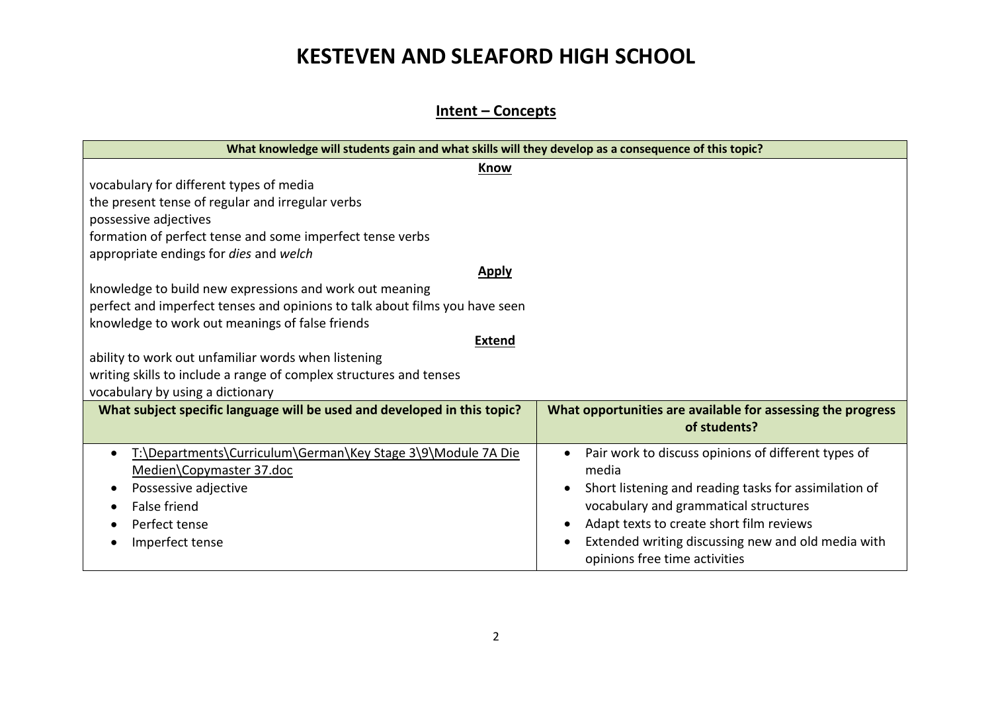**Intent – Concepts**

| What knowledge will students gain and what skills will they develop as a consequence of this topic? |                                                                                     |  |  |  |
|-----------------------------------------------------------------------------------------------------|-------------------------------------------------------------------------------------|--|--|--|
| Know                                                                                                |                                                                                     |  |  |  |
| vocabulary for different types of media                                                             |                                                                                     |  |  |  |
| the present tense of regular and irregular verbs                                                    |                                                                                     |  |  |  |
| possessive adjectives                                                                               |                                                                                     |  |  |  |
| formation of perfect tense and some imperfect tense verbs                                           |                                                                                     |  |  |  |
| appropriate endings for dies and welch                                                              |                                                                                     |  |  |  |
| <b>Apply</b>                                                                                        |                                                                                     |  |  |  |
| knowledge to build new expressions and work out meaning                                             |                                                                                     |  |  |  |
| perfect and imperfect tenses and opinions to talk about films you have seen                         |                                                                                     |  |  |  |
| knowledge to work out meanings of false friends                                                     |                                                                                     |  |  |  |
| <b>Extend</b>                                                                                       |                                                                                     |  |  |  |
| ability to work out unfamiliar words when listening                                                 |                                                                                     |  |  |  |
| writing skills to include a range of complex structures and tenses                                  |                                                                                     |  |  |  |
| vocabulary by using a dictionary                                                                    |                                                                                     |  |  |  |
| What subject specific language will be used and developed in this topic?                            | What opportunities are available for assessing the progress<br>of students?         |  |  |  |
| T:\Departments\Curriculum\German\Key Stage 3\9\Module 7A Die                                        | Pair work to discuss opinions of different types of                                 |  |  |  |
| Medien\Copymaster 37.doc                                                                            | media                                                                               |  |  |  |
| Possessive adjective                                                                                | Short listening and reading tasks for assimilation of                               |  |  |  |
| <b>False friend</b>                                                                                 | vocabulary and grammatical structures                                               |  |  |  |
| Perfect tense                                                                                       | Adapt texts to create short film reviews                                            |  |  |  |
| Imperfect tense                                                                                     | Extended writing discussing new and old media with<br>opinions free time activities |  |  |  |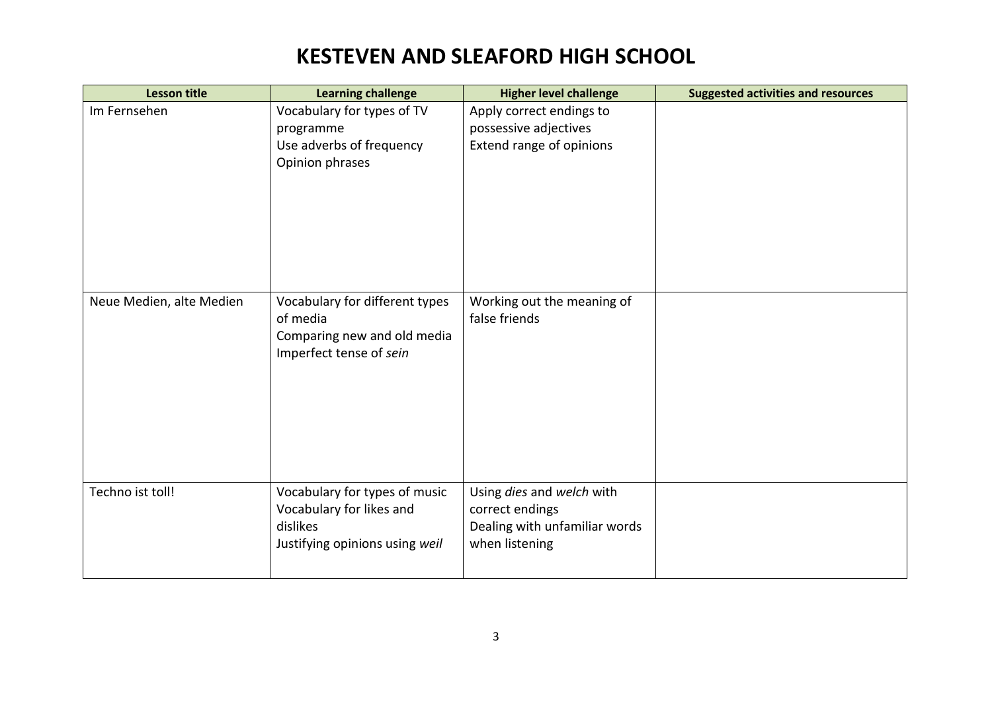| <b>Lesson title</b>      | <b>Learning challenge</b>               | <b>Higher level challenge</b>                     | <b>Suggested activities and resources</b> |
|--------------------------|-----------------------------------------|---------------------------------------------------|-------------------------------------------|
| Im Fernsehen             | Vocabulary for types of TV<br>programme | Apply correct endings to<br>possessive adjectives |                                           |
|                          | Use adverbs of frequency                | Extend range of opinions                          |                                           |
|                          | Opinion phrases                         |                                                   |                                           |
|                          |                                         |                                                   |                                           |
|                          |                                         |                                                   |                                           |
|                          |                                         |                                                   |                                           |
|                          |                                         |                                                   |                                           |
|                          |                                         |                                                   |                                           |
|                          |                                         |                                                   |                                           |
| Neue Medien, alte Medien | Vocabulary for different types          | Working out the meaning of                        |                                           |
|                          | of media                                | false friends                                     |                                           |
|                          | Comparing new and old media             |                                                   |                                           |
|                          | Imperfect tense of sein                 |                                                   |                                           |
|                          |                                         |                                                   |                                           |
|                          |                                         |                                                   |                                           |
|                          |                                         |                                                   |                                           |
|                          |                                         |                                                   |                                           |
|                          |                                         |                                                   |                                           |
|                          |                                         |                                                   |                                           |
| Techno ist toll!         | Vocabulary for types of music           | Using dies and welch with                         |                                           |
|                          | Vocabulary for likes and                | correct endings                                   |                                           |
|                          | dislikes                                | Dealing with unfamiliar words                     |                                           |
|                          | Justifying opinions using weil          | when listening                                    |                                           |
|                          |                                         |                                                   |                                           |